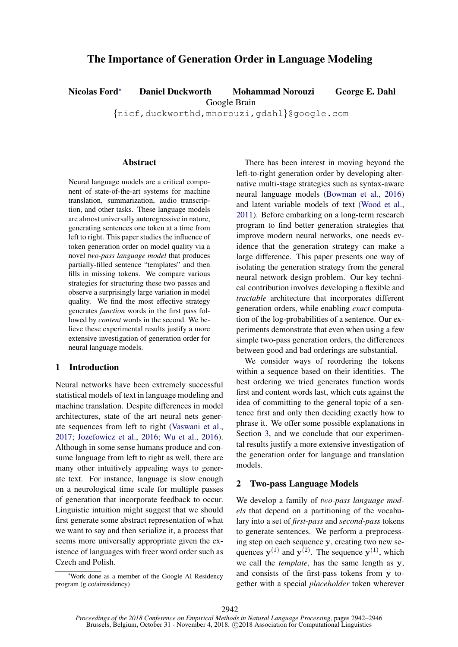# The Importance of Generation Order in Language Modeling

Nicolas Ford<sup>∗</sup> Daniel Duckworth Mohammad Norouzi George E. Dahl

Google Brain

{nicf,duckworthd,mnorouzi,gdahl}@google.com

#### **Abstract**

Neural language models are a critical component of state-of-the-art systems for machine translation, summarization, audio transcription, and other tasks. These language models are almost universally autoregressive in nature, generating sentences one token at a time from left to right. This paper studies the influence of token generation order on model quality via a novel *two-pass language model* that produces partially-filled sentence "templates" and then fills in missing tokens. We compare various strategies for structuring these two passes and observe a surprisingly large variation in model quality. We find the most effective strategy generates *function* words in the first pass followed by *content* words in the second. We believe these experimental results justify a more extensive investigation of generation order for neural language models.

## 1 Introduction

Neural networks have been extremely successful statistical models of text in language modeling and machine translation. Despite differences in model architectures, state of the art neural nets generate sequences from left to right [\(Vaswani et al.,](#page-4-0) [2017;](#page-4-0) [Jozefowicz et al.,](#page-4-1) [2016;](#page-4-1) [Wu et al.,](#page-4-2) [2016\)](#page-4-2). Although in some sense humans produce and consume language from left to right as well, there are many other intuitively appealing ways to generate text. For instance, language is slow enough on a neurological time scale for multiple passes of generation that incorporate feedback to occur. Linguistic intuition might suggest that we should first generate some abstract representation of what we want to say and then serialize it, a process that seems more universally appropriate given the existence of languages with freer word order such as Czech and Polish.

There has been interest in moving beyond the left-to-right generation order by developing alternative multi-stage strategies such as syntax-aware neural language models [\(Bowman et al.,](#page-4-3) [2016\)](#page-4-3) and latent variable models of text [\(Wood et al.,](#page-4-4) [2011\)](#page-4-4). Before embarking on a long-term research program to find better generation strategies that improve modern neural networks, one needs evidence that the generation strategy can make a large difference. This paper presents one way of isolating the generation strategy from the general neural network design problem. Our key technical contribution involves developing a flexible and *tractable* architecture that incorporates different generation orders, while enabling *exact* computation of the log-probabilities of a sentence. Our experiments demonstrate that even when using a few simple two-pass generation orders, the differences between good and bad orderings are substantial.

We consider ways of reordering the tokens within a sequence based on their identities. The best ordering we tried generates function words first and content words last, which cuts against the idea of committing to the general topic of a sentence first and only then deciding exactly how to phrase it. We offer some possible explanations in Section [3,](#page-2-0) and we conclude that our experimental results justify a more extensive investigation of the generation order for language and translation models.

### 2 Two-pass Language Models

We develop a family of *two-pass language models* that depend on a partitioning of the vocabulary into a set of *first-pass* and *second-pass* tokens to generate sentences. We perform a preprocessing step on each sequence y, creating two new sequences  $y^{(1)}$  and  $y^{(2)}$ . The sequence  $y^{(1)}$ , which we call the *template*, has the same length as y, and consists of the first-pass tokens from y together with a special *placeholder* token wherever

<sup>∗</sup>Work done as a member of the Google AI Residency program (g.co/airesidency)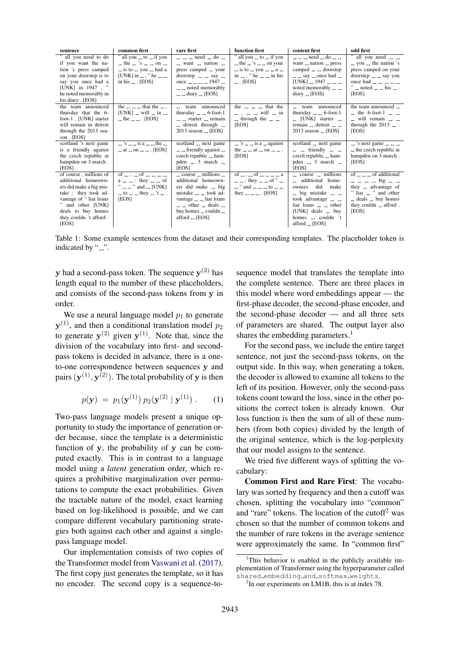| sentence                | common first                                                                              | rare first                                                                    | function first                                                                                                                                                                                                                                                                                                                                                                                                                                                                  | content first                                                     | odd first                                                                                       |
|-------------------------|-------------------------------------------------------------------------------------------|-------------------------------------------------------------------------------|---------------------------------------------------------------------------------------------------------------------------------------------------------------------------------------------------------------------------------------------------------------------------------------------------------------------------------------------------------------------------------------------------------------------------------------------------------------------------------|-------------------------------------------------------------------|-------------------------------------------------------------------------------------------------|
| " all you need to do    | " all you _ to _ if you                                                                   | $   \neq$ need $-$ do $-$                                                     | " all you _ to _ if you                                                                                                                                                                                                                                                                                                                                                                                                                                                         | $   \neq$ need $-$ do $ -$                                        | " all you need $\overline{\phantom{a}}$ $\overline{\phantom{a}}$                                |
| if you want the na-     | $-$ the $-$ 's $ -$ on $-$                                                                | $\sim$ want $\sim$ nation $\sim$                                              | $-$ the $-$ 's $ -$ on your                                                                                                                                                                                                                                                                                                                                                                                                                                                     | want $\equiv$ nation $\equiv$ press                               | $\sim$ you $\sim$ the nation 's                                                                 |
| tion 's press camped    | $\equiv$ is to $\equiv$ you $\equiv$ had a                                                | press camped __ your                                                          | $-$ is to $-$ you $  a$ $-$                                                                                                                                                                                                                                                                                                                                                                                                                                                     | camped $\equiv$ $\equiv$ doorstep                                 | press camped on your                                                                            |
| on your doorstep is to  | [UNK] in $-$ , " he $-$                                                                   | $doorstep$ $\ldots$ say $\ldots$                                              | in $-$ , " he $ -$ in his                                                                                                                                                                                                                                                                                                                                                                                                                                                       | $\sim$ $\sim$ say $\sim$ once had $\sim$                          | $d$ oorstep $\overline{-}$ $\overline{-}$ say you                                               |
| say you once had a      | in his $\ldots$ [EOS]                                                                     | once $\frac{1}{2}$ $\frac{1}{2}$ $\frac{1}{2}$ $\frac{1947}{2}$ $\frac{1}{2}$ | $\ldots$ [EOS]                                                                                                                                                                                                                                                                                                                                                                                                                                                                  | $[UNK] = 1947 - -$                                                | once had $\sim$ $\sim$ $\sim$ $\sim$ $\sim$                                                     |
| [UNK] in $1947$ , "     |                                                                                           | $\equiv$ $\equiv$ noted memorably                                             |                                                                                                                                                                                                                                                                                                                                                                                                                                                                                 | noted memorably $\overline{\phantom{a}}$ $\overline{\phantom{a}}$ | $"$ = noted = = his = .                                                                         |
| he noted memorably in   |                                                                                           | $ -$ diary $-$ [EOS]                                                          |                                                                                                                                                                                                                                                                                                                                                                                                                                                                                 | diary $_{-}$ [EOS]                                                | [EOS]                                                                                           |
| his diary. [EOS]        |                                                                                           |                                                                               |                                                                                                                                                                                                                                                                                                                                                                                                                                                                                 |                                                                   |                                                                                                 |
| the team announced      | the $\sim$ $\sim$ $\sim$ that the $\sim$ .                                                | team announced<br>$\sim$                                                      | the $\sim$ $\sim$ $\sim$ that the                                                                                                                                                                                                                                                                                                                                                                                                                                               | team announced                                                    | the team announced __                                                                           |
| thursday that the 6-    | [UNK] $\equiv$ will $\equiv$ in $\equiv$                                                  | thursday $\overline{a}$ = $\overline{a}$ = 6-foot-1                           |                                                                                                                                                                                                                                                                                                                                                                                                                                                                                 | thursday $\qquad$ = $-$ 6-foot-1                                  | $\mu$ the 6-foot-1 $\mu$ $\mu$                                                                  |
| foot-1, [UNK] starter   | $-$ the $  \cdot$ [EOS]                                                                   | $\equiv$ $\equiv$ starter $\equiv$ remain                                     | $\equiv$ through the $\equiv$ $\equiv$ $\equiv$                                                                                                                                                                                                                                                                                                                                                                                                                                 | $\lrcorner$ [UNK] starter $\lrcorner$                             | $\equiv$ will remain $\equiv$ $\equiv$                                                          |
| will remain in detroit  |                                                                                           | $-$ detroit through $-$                                                       | [EOS]                                                                                                                                                                                                                                                                                                                                                                                                                                                                           | remain $\Box$ detroit $\Box$                                      | through the $2013$ $-$ .                                                                        |
| through the 2013 sea-   |                                                                                           | $2013$ season $\lfloor$ [EOS]                                                 |                                                                                                                                                                                                                                                                                                                                                                                                                                                                                 | $2013$ season $\qquad$ [EOS]                                      | [EOS]                                                                                           |
| son. [EOS]              |                                                                                           |                                                                               |                                                                                                                                                                                                                                                                                                                                                                                                                                                                                 |                                                                   |                                                                                                 |
| scotland 's next game   | $\sim$ 's $\sim$ $\sim$ is a $\sim$ $\sim$ the $\sim$                                     | scotland __ next game                                                         | $\overline{\phantom{a}}$ $\overline{\phantom{a}}$ $\overline{\phantom{a}}$ $\overline{\phantom{a}}$ $\overline{\phantom{a}}$ $\overline{\phantom{a}}$ $\overline{\phantom{a}}$ $\overline{\phantom{a}}$ $\overline{\phantom{a}}$ $\overline{\phantom{a}}$ $\overline{\phantom{a}}$ $\overline{\phantom{a}}$ $\overline{\phantom{a}}$ $\overline{\phantom{a}}$ $\overline{\phantom{a}}$ $\overline{\phantom{a}}$ $\overline{\phantom{a}}$ $\overline{\phantom{a}}$ $\overline{\$ | scotland <sub>--</sub> next game                                  | $\sim$ 's next game $\sim$ $\sim$ $\sim$                                                        |
| is a friendly against   | $-$ at $-$ on $ -$ [EOS]                                                                  | $\overline{\phantom{a}}$ = friendly against $\overline{\phantom{a}}$          | the $\frac{1}{2}$ = at $\frac{1}{2}$ on $\frac{1}{2}$ = $\frac{1}{2}$ .                                                                                                                                                                                                                                                                                                                                                                                                         | $\equiv$ $\equiv$ friendly $\equiv$ $\equiv$                      | - the czech republic at                                                                         |
| the czech republic at   |                                                                                           | czech republic __ ham-                                                        | [EOS]                                                                                                                                                                                                                                                                                                                                                                                                                                                                           | czech republic __ ham-                                            | hampden on 3 march.                                                                             |
| hampden on 3 march.     |                                                                                           | pden $-3$ march $-$                                                           |                                                                                                                                                                                                                                                                                                                                                                                                                                                                                 | pden $-3$ march $-$                                               | [EOS]                                                                                           |
| [EOS]                   |                                                                                           | <b>IEOSI</b>                                                                  |                                                                                                                                                                                                                                                                                                                                                                                                                                                                                 | [EOS]                                                             |                                                                                                 |
| of course, millions of  | of $\frac{1}{2}$ $\frac{1}{2}$ of $\frac{1}{2}$ $\frac{1}{2}$ $\frac{1}{2}$ $\frac{1}{2}$ | $\sim$ course $\sim$ millions $\sim$                                          | of $\frac{1}{2}$ . $\frac{1}{2}$ of $\frac{1}{2}$ $\frac{1}{2}$ $\frac{1}{2}$ $\frac{1}{2}$ $\frac{1}{2}$ $\frac{1}{2}$ $\frac{1}{2}$ $\frac{1}{2}$                                                                                                                                                                                                                                                                                                                             | $\sim$ course $\sim$ millions                                     | of $\overline{\phantom{a}}$ = $\overline{\phantom{a}}$ = $\overline{\phantom{a}}$ of additional |
| additional homeown-     | $a = 1$ : they $= 0$ of                                                                   | additional homeown-                                                           | $\ldots$ $\ldots$ : they $\ldots$ of " $\ldots$                                                                                                                                                                                                                                                                                                                                                                                                                                 | -- additional home-                                               | $    \frac{1}{2}$ $\frac{1}{2}$ $\frac{1}{2}$ $\frac{1}{2}$                                     |
| ers did make a big mis- | $"$ " and  [UNK]                                                                          | ers did make _ big                                                            | $\sim$ " and $\sim$ $\sim$ $\sim$ to $\sim$ $\sim$                                                                                                                                                                                                                                                                                                                                                                                                                              | did<br>make<br>owners                                             | they <sub>--</sub> advantage of                                                                 |
| take: they took ad-     | $-$ to $ -$ they $-$ 't $-$ .                                                             | mistake __ __ took ad-                                                        | they $---$ [EOS]                                                                                                                                                                                                                                                                                                                                                                                                                                                                | $-$ big mistake $ -$                                              | liar __ " and other                                                                             |
| vantage of " liar loans | [EOS]                                                                                     | vantage $\equiv$ $\equiv$ liar loans                                          |                                                                                                                                                                                                                                                                                                                                                                                                                                                                                 | took advantage $\sim$ $\sim$                                      | $\sim$ deals $\sim$ buy homes                                                                   |
| " and other [UNK]       |                                                                                           | $\sim$ $\sim$ other $\sim$ deals $\sim$                                       |                                                                                                                                                                                                                                                                                                                                                                                                                                                                                 | $\lim$ loans $\lim$ other                                         | they couldn $\overline{\phantom{a}}$ afford.                                                    |
| deals to buy homes      |                                                                                           | buy homes -- couldn --                                                        |                                                                                                                                                                                                                                                                                                                                                                                                                                                                                 | [UNK] deals _ buy                                                 | [EOS]                                                                                           |
| they couldn't afford.   |                                                                                           | afford $\angle$ [EOS]                                                         |                                                                                                                                                                                                                                                                                                                                                                                                                                                                                 | homes ___ couldn 't                                               |                                                                                                 |
| [EOS]                   |                                                                                           |                                                                               |                                                                                                                                                                                                                                                                                                                                                                                                                                                                                 | afford _ [EOS]                                                    |                                                                                                 |

<span id="page-1-2"></span>Table 1: Some example sentences from the dataset and their corresponding templates. The placeholder token is indicated by "...".

**y** had a second-pass token. The sequence  $y^{(2)}$  has length equal to the number of these placeholders, and consists of the second-pass tokens from y in order.

We use a neural language model  $p_1$  to generate  $y^{(1)}$ , and then a conditional translation model  $p_2$ to generate  $y^{(2)}$  given  $y^{(1)}$ . Note that, since the division of the vocabulary into first- and secondpass tokens is decided in advance, there is a oneto-one correspondence between sequences y and pairs  $(\mathbf{y}^{(1)}, \mathbf{y}^{(2)})$ . The total probability of  $\mathbf y$  is then

$$
p(\mathbf{y}) = p_1(\mathbf{y}^{(1)}) p_2(\mathbf{y}^{(2)} | \mathbf{y}^{(1)}) . \qquad (1)
$$

Two-pass language models present a unique opportunity to study the importance of generation order because, since the template is a deterministic function of y, the probability of y can be computed exactly. This is in contrast to a language model using a *latent* generation order, which requires a prohibitive marginalization over permutations to compute the exact probabilities. Given the tractable nature of the model, exact learning based on log-likelihood is possible, and we can compare different vocabulary partitioning strategies both against each other and against a singlepass language model.

Our implementation consists of two copies of the Transformer model from [Vaswani et al.](#page-4-0) [\(2017\)](#page-4-0). The first copy just generates the template, so it has no encoder. The second copy is a sequence-to-

sequence model that translates the template into the complete sentence. There are three places in this model where word embeddings appear — the first-phase decoder, the second-phase encoder, and the second-phase decoder — and all three sets of parameters are shared. The output layer also shares the embedding parameters.<sup>[1](#page-1-0)</sup>

For the second pass, we include the entire target sentence, not just the second-pass tokens, on the output side. In this way, when generating a token, the decoder is allowed to examine all tokens to the left of its position. However, only the second-pass tokens count toward the loss, since in the other positions the correct token is already known. Our loss function is then the sum of all of these numbers (from both copies) divided by the length of the original sentence, which is the log-perplexity that our model assigns to the sentence.

We tried five different ways of splitting the vocabulary:

Common First and Rare First: The vocabulary was sorted by frequency and then a cutoff was chosen, splitting the vocabulary into "common" and "rare" tokens. The location of the cutoff<sup>[2](#page-1-1)</sup> was chosen so that the number of common tokens and the number of rare tokens in the average sentence were approximately the same. In "common first"

<span id="page-1-0"></span><sup>&</sup>lt;sup>1</sup>This behavior is enabled in the publicly available implementation of Transformer using the hyperparameter called shared embedding and softmax weights.

<span id="page-1-1"></span><sup>&</sup>lt;sup>2</sup>In our experiments on LM1B, this is at index 78.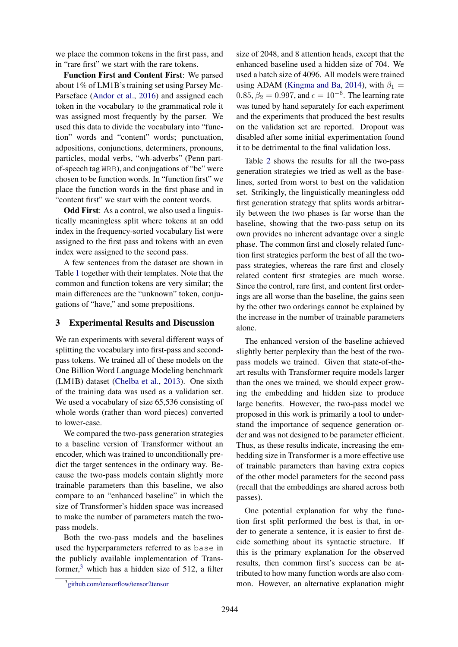we place the common tokens in the first pass, and in "rare first" we start with the rare tokens.

Function First and Content First: We parsed about 1% of LM1B's training set using Parsey Mc-Parseface [\(Andor et al.,](#page-4-5) [2016\)](#page-4-5) and assigned each token in the vocabulary to the grammatical role it was assigned most frequently by the parser. We used this data to divide the vocabulary into "function" words and "content" words; punctuation, adpositions, conjunctions, determiners, pronouns, particles, modal verbs, "wh-adverbs" (Penn partof-speech tag WRB), and conjugations of "be" were chosen to be function words. In "function first" we place the function words in the first phase and in "content first" we start with the content words.

Odd First: As a control, we also used a linguistically meaningless split where tokens at an odd index in the frequency-sorted vocabulary list were assigned to the first pass and tokens with an even index were assigned to the second pass.

A few sentences from the dataset are shown in Table [1](#page-1-2) together with their templates. Note that the common and function tokens are very similar; the main differences are the "unknown" token, conjugations of "have," and some prepositions.

#### <span id="page-2-0"></span>3 Experimental Results and Discussion

We ran experiments with several different ways of splitting the vocabulary into first-pass and secondpass tokens. We trained all of these models on the One Billion Word Language Modeling benchmark (LM1B) dataset [\(Chelba et al.,](#page-4-6) [2013\)](#page-4-6). One sixth of the training data was used as a validation set. We used a vocabulary of size 65,536 consisting of whole words (rather than word pieces) converted to lower-case.

We compared the two-pass generation strategies to a baseline version of Transformer without an encoder, which was trained to unconditionally predict the target sentences in the ordinary way. Because the two-pass models contain slightly more trainable parameters than this baseline, we also compare to an "enhanced baseline" in which the size of Transformer's hidden space was increased to make the number of parameters match the twopass models.

Both the two-pass models and the baselines used the hyperparameters referred to as base in the publicly available implementation of Transformer, $3$  which has a hidden size of 512, a filter size of 2048, and 8 attention heads, except that the enhanced baseline used a hidden size of 704. We used a batch size of 4096. All models were trained using ADAM [\(Kingma and Ba,](#page-4-7) [2014\)](#page-4-7), with  $\beta_1 =$  $0.85, \beta_2 = 0.997$ , and  $\epsilon = 10^{-6}$ . The learning rate was tuned by hand separately for each experiment and the experiments that produced the best results on the validation set are reported. Dropout was disabled after some initial experimentation found it to be detrimental to the final validation loss.

Table [2](#page-3-0) shows the results for all the two-pass generation strategies we tried as well as the baselines, sorted from worst to best on the validation set. Strikingly, the linguistically meaningless odd first generation strategy that splits words arbitrarily between the two phases is far worse than the baseline, showing that the two-pass setup on its own provides no inherent advantage over a single phase. The common first and closely related function first strategies perform the best of all the twopass strategies, whereas the rare first and closely related content first strategies are much worse. Since the control, rare first, and content first orderings are all worse than the baseline, the gains seen by the other two orderings cannot be explained by the increase in the number of trainable parameters alone.

The enhanced version of the baseline achieved slightly better perplexity than the best of the twopass models we trained. Given that state-of-theart results with Transformer require models larger than the ones we trained, we should expect growing the embedding and hidden size to produce large benefits. However, the two-pass model we proposed in this work is primarily a tool to understand the importance of sequence generation order and was not designed to be parameter efficient. Thus, as these results indicate, increasing the embedding size in Transformer is a more effective use of trainable parameters than having extra copies of the other model parameters for the second pass (recall that the embeddings are shared across both passes).

One potential explanation for why the function first split performed the best is that, in order to generate a sentence, it is easier to first decide something about its syntactic structure. If this is the primary explanation for the observed results, then common first's success can be attributed to how many function words are also common. However, an alternative explanation might

<span id="page-2-1"></span><sup>3</sup> [github.com/tensorflow/tensor2tensor](https://github.com/tensorflow/tensor2tensor)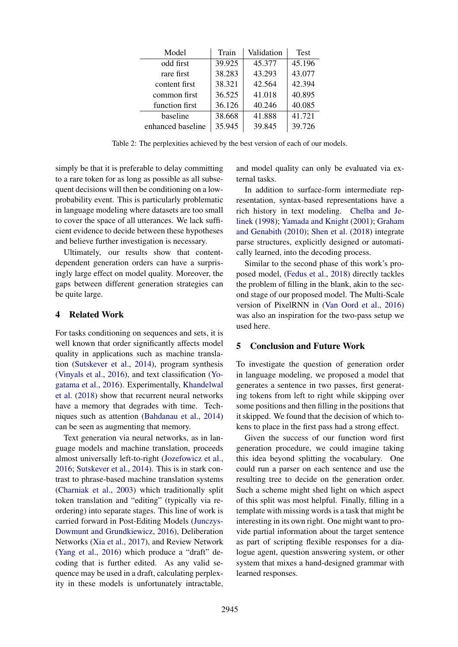| Model             | Train  | Validation | <b>Test</b> |
|-------------------|--------|------------|-------------|
| odd first         | 39.925 | 45.377     | 45.196      |
| rare first        | 38.283 | 43.293     | 43.077      |
| content first     | 38.321 | 42.564     | 42.394      |
| common first      | 36.525 | 41.018     | 40.895      |
| function first    | 36.126 | 40.246     | 40.085      |
| baseline          | 38.668 | 41.888     | 41.721      |
| enhanced baseline | 35.945 | 39.845     | 39.726      |

<span id="page-3-0"></span>Table 2: The perplexities achieved by the best version of each of our models.

simply be that it is preferable to delay committing to a rare token for as long as possible as all subsequent decisions will then be conditioning on a lowprobability event. This is particularly problematic in language modeling where datasets are too small to cover the space of all utterances. We lack sufficient evidence to decide between these hypotheses and believe further investigation is necessary.

Ultimately, our results show that contentdependent generation orders can have a surprisingly large effect on model quality. Moreover, the gaps between different generation strategies can be quite large.

### 4 Related Work

For tasks conditioning on sequences and sets, it is well known that order significantly affects model quality in applications such as machine translation [\(Sutskever et al.,](#page-4-8) [2014\)](#page-4-8), program synthesis [\(Vinyals et al.,](#page-4-9) [2016\)](#page-4-9), and text classification [\(Yo](#page-4-10)[gatama et al.,](#page-4-10) [2016\)](#page-4-10). Experimentally, [Khandelwal](#page-4-11) [et al.](#page-4-11) [\(2018\)](#page-4-11) show that recurrent neural networks have a memory that degrades with time. Techniques such as attention [\(Bahdanau et al.,](#page-4-12) [2014\)](#page-4-12) can be seen as augmenting that memory.

Text generation via neural networks, as in language models and machine translation, proceeds almost universally left-to-right [\(Jozefowicz et al.,](#page-4-1) [2016;](#page-4-1) [Sutskever et al.,](#page-4-8) [2014\)](#page-4-8). This is in stark contrast to phrase-based machine translation systems [\(Charniak et al.,](#page-4-13) [2003\)](#page-4-13) which traditionally split token translation and "editing" (typically via reordering) into separate stages. This line of work is carried forward in Post-Editing Models [\(Junczys-](#page-4-14)[Dowmunt and Grundkiewicz,](#page-4-14) [2016\)](#page-4-14), Deliberation Networks [\(Xia et al.,](#page-4-15) [2017\)](#page-4-15), and Review Network [\(Yang et al.,](#page-4-16) [2016\)](#page-4-16) which produce a "draft" decoding that is further edited. As any valid sequence may be used in a draft, calculating perplexity in these models is unfortunately intractable,

and model quality can only be evaluated via external tasks.

In addition to surface-form intermediate representation, syntax-based representations have a rich history in text modeling. [Chelba and Je](#page-4-17)[linek](#page-4-17) [\(1998\)](#page-4-17); [Yamada and Knight](#page-4-18) [\(2001\)](#page-4-18); [Graham](#page-4-19) [and Genabith](#page-4-19) [\(2010\)](#page-4-19); [Shen et al.](#page-4-20) [\(2018\)](#page-4-20) integrate parse structures, explicitly designed or automatically learned, into the decoding process.

Similar to the second phase of this work's proposed model, [\(Fedus et al.,](#page-4-21) [2018\)](#page-4-21) directly tackles the problem of filling in the blank, akin to the second stage of our proposed model. The Multi-Scale version of PixelRNN in [\(Van Oord et al.,](#page-4-22) [2016\)](#page-4-22) was also an inspiration for the two-pass setup we used here.

## 5 Conclusion and Future Work

To investigate the question of generation order in language modeling, we proposed a model that generates a sentence in two passes, first generating tokens from left to right while skipping over some positions and then filling in the positions that it skipped. We found that the decision of which tokens to place in the first pass had a strong effect.

Given the success of our function word first generation procedure, we could imagine taking this idea beyond splitting the vocabulary. One could run a parser on each sentence and use the resulting tree to decide on the generation order. Such a scheme might shed light on which aspect of this split was most helpful. Finally, filling in a template with missing words is a task that might be interesting in its own right. One might want to provide partial information about the target sentence as part of scripting flexible responses for a dialogue agent, question answering system, or other system that mixes a hand-designed grammar with learned responses.